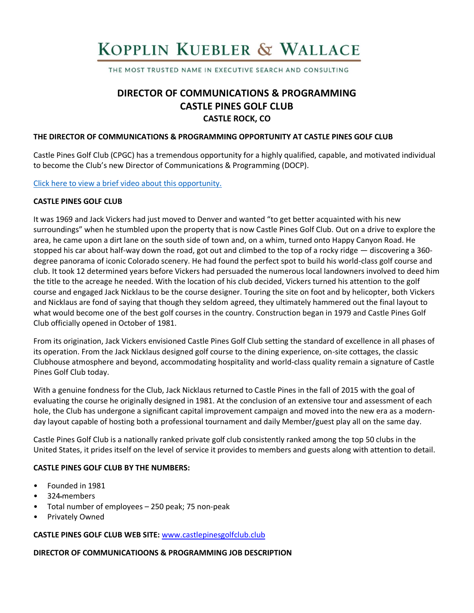# KOPPLIN KUEBLER & WALLACE

THE MOST TRUSTED NAME IN EXECUTIVE SEARCH AND CONSULTING

# **DIRECTOR OF COMMUNICATIONS & PROGRAMMING CASTLE PINES GOLF CLUB CASTLE ROCK, CO**

#### **THE DIRECTOR OF COMMUNICATIONS & PROGRAMMING OPPORTUNITY AT CASTLE PINES GOLF CLUB**

Castle Pines Golf Club (CPGC) has a tremendous opportunity for a highly qualified, capable, and motivated individual to become the Club's new Director of Communications & Programming (DOCP).

[Click here to view a brief video about](https://www.youtube.com/watch?v=5U89Y7vO40A) this opportunity.

#### **CASTLE PINES GOLF CLUB**

It was 1969 and Jack Vickers had just moved to Denver and wanted "to get better acquainted with his new surroundings" when he stumbled upon the property that is now Castle Pines Golf Club. Out on a drive to explore the area, he came upon a dirt lane on the south side of town and, on a whim, turned onto Happy Canyon Road. He stopped his car about half-way down the road, got out and climbed to the top of a rocky ridge — discovering a 360degree panorama of iconic Colorado scenery. He had found the perfect spot to build his world-class golf course and club. It took 12 determined years before Vickers had persuaded the numerous local landowners involved to deed him the title to the acreage he needed. With the location of his club decided, Vickers turned his attention to the golf course and engaged Jack Nicklaus to be the course designer. Touring the site on foot and by helicopter, both Vickers and Nicklaus are fond of saying that though they seldom agreed, they ultimately hammered out the final layout to what would become one of the best golf courses in the country. Construction began in 1979 and Castle Pines Golf Club officially opened in October of 1981.

From its origination, Jack Vickers envisioned Castle Pines Golf Club setting the standard of excellence in all phases of its operation. From the Jack Nicklaus designed golf course to the dining experience, on-site cottages, the classic Clubhouse atmosphere and beyond, accommodating hospitality and world-class quality remain a signature of Castle Pines Golf Club today.

With a genuine fondness for the Club, Jack Nicklaus returned to Castle Pines in the fall of 2015 with the goal of evaluating the course he originally designed in 1981. At the conclusion of an extensive tour and assessment of each hole, the Club has undergone a significant capital improvement campaign and moved into the new era as a modernday layout capable of hosting both a professional tournament and daily Member/guest play all on the same day.

Castle Pines Golf Club is a nationally ranked private golf club consistently ranked among the top 50 clubs in the United States, it prides itself on the level of service it provides to members and guests along with attention to detail.

#### **CASTLE PINES GOLF CLUB BY THE NUMBERS:**

- Founded in 1981
- 324 members
- Total number of employees 250 peak; 75 non-peak
- Privately Owned

#### **CASTLE PINES GOLF CLUB WEB SITE:** [www.castlepinesgolfclub.club](http://www.castlepinesgolfclub.club/)

#### **DIRECTOR OF COMMUNICATIOONS & PROGRAMMING JOB DESCRIPTION**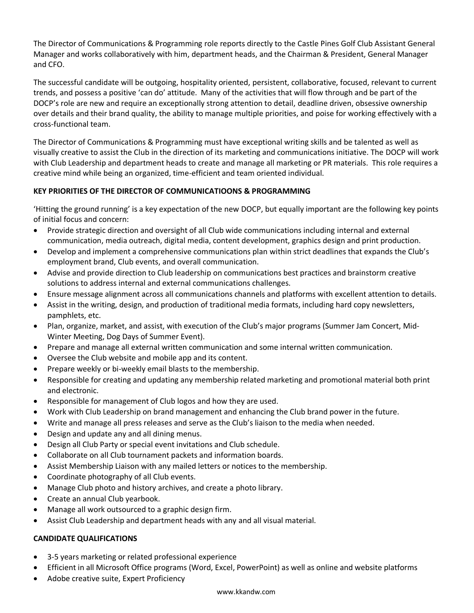The Director of Communications & Programming role reports directly to the Castle Pines Golf Club Assistant General Manager and works collaboratively with him, department heads, and the Chairman & President, General Manager and CFO.

The successful candidate will be outgoing, hospitality oriented, persistent, collaborative, focused, relevant to current trends, and possess a positive 'can do' attitude. Many of the activities that will flow through and be part of the DOCP's role are new and require an exceptionally strong attention to detail, deadline driven, obsessive ownership over details and their brand quality, the ability to manage multiple priorities, and poise for working effectively with a cross-functional team.

The Director of Communications & Programming must have exceptional writing skills and be talented as well as visually creative to assist the Club in the direction of its marketing and communications initiative. The DOCP will work with Club Leadership and department heads to create and manage all marketing or PR materials. This role requires a creative mind while being an organized, time-efficient and team oriented individual.

# **KEY PRIORITIES OF THE DIRECTOR OF COMMUNICATIOONS & PROGRAMMING**

'Hitting the ground running' is a key expectation of the new DOCP, but equally important are the following key points of initial focus and concern:

- Provide strategic direction and oversight of all Club wide communications including internal and external communication, media outreach, digital media, content development, graphics design and print production.
- Develop and implement a comprehensive communications plan within strict deadlines that expands the Club's employment brand, Club events, and overall communication.
- Advise and provide direction to Club leadership on communications best practices and brainstorm creative solutions to address internal and external communications challenges.
- Ensure message alignment across all communications channels and platforms with excellent attention to details.
- Assist in the writing, design, and production of traditional media formats, including hard copy newsletters, pamphlets, etc.
- Plan, organize, market, and assist, with execution of the Club's major programs (Summer Jam Concert, Mid-Winter Meeting, Dog Days of Summer Event).
- Prepare and manage all external written communication and some internal written communication.
- Oversee the Club website and mobile app and its content.
- Prepare weekly or bi-weekly email blasts to the membership.
- Responsible for creating and updating any membership related marketing and promotional material both print and electronic.
- Responsible for management of Club logos and how they are used.
- Work with Club Leadership on brand management and enhancing the Club brand power in the future.
- Write and manage all press releases and serve as the Club's liaison to the media when needed.
- Design and update any and all dining menus.
- Design all Club Party or special event invitations and Club schedule.
- Collaborate on all Club tournament packets and information boards.
- Assist Membership Liaison with any mailed letters or notices to the membership.
- Coordinate photography of all Club events.
- Manage Club photo and history archives, and create a photo library.
- Create an annual Club yearbook.
- Manage all work outsourced to a graphic design firm.
- Assist Club Leadership and department heads with any and all visual material.

## **CANDIDATE QUALIFICATIONS**

- 3-5 years marketing or related professional experience
- Efficient in all Microsoft Office programs (Word, Excel, PowerPoint) as well as online and website platforms
- Adobe creative suite, Expert Proficiency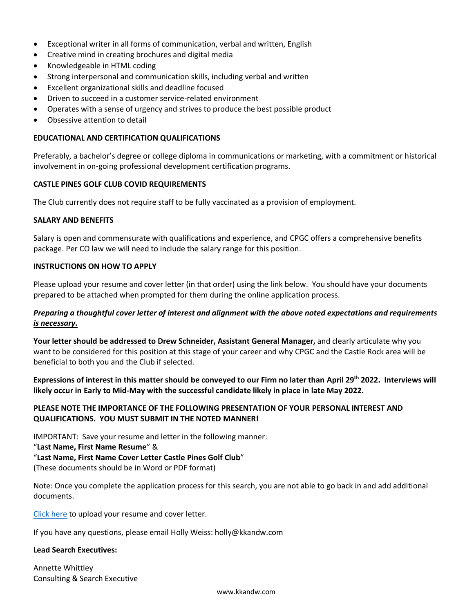- Exceptional writer in all forms of communication, verbal and written, English
- Creative mind in creating brochures and digital media
- Knowledgeable in HTML coding
- Strong interpersonal and communication skills, including verbal and written
- Excellent organizational skills and deadline focused
- Driven to succeed in a customer service-related environment
- Operates with a sense of urgency and strives to produce the best possible product
- Obsessive attention to detail

#### **EDUCATIONAL AND CERTIFICATION QUALIFICATIONS**

Preferably, a bachelor's degree or college diploma in communications or marketing, with a commitment or historical involvement in on-going professional development certification programs.

#### **CASTLE PINES GOLF CLUB COVID REQUIREMENTS**

The Club currently does not require staff to be fully vaccinated as a provision of employment.

#### **SALARY AND BENEFITS**

Salary is open and commensurate with qualifications and experience, and CPGC offers a comprehensive benefits package. Per CO law we will need to include the salary range for this position.

#### **INSTRUCTIONS ON HOW TO APPLY**

Please upload your resume and cover letter (in that order) using the link below. You should have your documents prepared to be attached when prompted for them during the online application process.

#### *Preparing a thoughtful cover letter of interest and alignment with the above noted expectations and requirements is necessary.*

**Your letter should be addressed to Drew Schneider, Assistant General Manager,** and clearly articulate why you want to be considered for this position at this stage of your career and why CPGC and the Castle Rock area will be beneficial to both you and the Club if selected.

**Expressions of interest in this matter should be conveyed to our Firm no later than April 29th 2022. Interviews will likely occur in Early to Mid-May with the successful candidate likely in place in late May 2022.**

### **PLEASE NOTE THE IMPORTANCE OF THE FOLLOWING PRESENTATION OF YOUR PERSONAL INTEREST AND QUALIFICATIONS. YOU MUST SUBMIT IN THE NOTED MANNER!**

IMPORTANT: Save your resume and letter in the following manner:

"**Last Name, First Name Resume**" &

#### "**Last Name, First Name Cover Letter Castle Pines Golf Club**"

(These documents should be in Word or PDF format)

Note: Once you complete the application process for this search, you are not able to go back in and add additional documents.

[Click here](https://kopplinandkuebler.secure.force.com/careers/ts2__Register?jobId=a0x6T000009y9EbQAI&tSource=) to upload your resume and cover letter.

If you have any questions, please email Holly Weiss: holly@kkandw.com

#### **Lead Search Executives:**

Annette Whittley Consulting & Search Executive